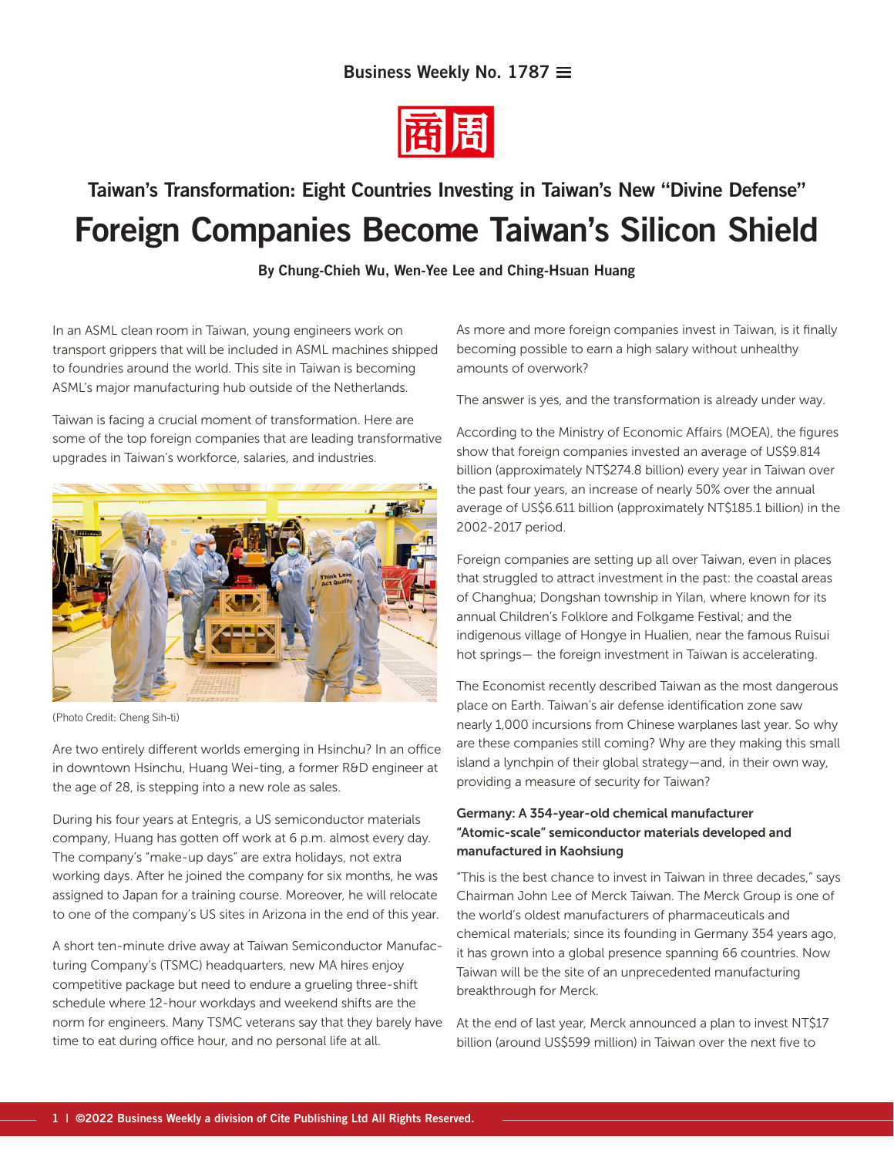

# Taiwan's Transformation: Eight Countries Investing in Taiwan's New "Divine Defense" Foreign Companies Become Taiwan's Silicon Shield

By Chung-Chieh Wu, Wen-Yee Lee and Ching-Hsuan Huang

In an ASML clean room in Taiwan, young engineers work on transport grippers that will be included in ASML machines shipped to foundries around the world. This site in Taiwan is becoming ASML's major manufacturing hub outside of the Netherlands.

Taiwan is facing a crucial moment of transformation. Here are some of the top foreign companies that are leading transformative upgrades in Taiwan's workforce, salaries, and industries.



(Photo Credit: Cheng Sih-ti)

Are two entirely different worlds emerging in Hsinchu? In an office in downtown Hsinchu, Huang Wei-ting, a former R&D engineer at the age of 28, is stepping into a new role as sales.

During his four years at Entegris, a US semiconductor materials company, Huang has gotten off work at 6 p.m. almost every day. The company's "make-up days" are extra holidays, not extra working days. After he joined the company for six months, he was assigned to Japan for a training course. Moreover, he will relocate to one of the company's US sites in Arizona in the end of this year.

A short ten-minute drive away at Taiwan Semiconductor Manufacturing Company's (TSMC) headquarters, new MA hires enjoy competitive package but need to endure a grueling three-shift schedule where 12-hour workdays and weekend shifts are the norm for engineers. Many TSMC veterans say that they barely have time to eat during office hour, and no personal life at all.

As more and more foreign companies invest in Taiwan, is it finally becoming possible to earn a high salary without unhealthy amounts of overwork?

The answer is yes, and the transformation is already under way.

According to the Ministry of Economic Affairs (MOEA), the figures show that foreign companies invested an average of US\$9.814 billion (approximately NT\$274.8 billion) every year in Taiwan over the past four years, an increase of nearly 50% over the annual average of US\$6.611 billion (approximately NT\$185.1 billion) in the 2002-2017 period.

Foreign companies are setting up all over Taiwan, even in places that struggled to attract investment in the past: the coastal areas of Changhua; Dongshan township in Yilan, where known for its annual Children's Folklore and Folkgame Festival; and the indigenous village of Hongye in Hualien, near the famous Ruisui hot springs— the foreign investment in Taiwan is accelerating.

The Economist recently described Taiwan as the most dangerous place on Earth. Taiwan's air defense identification zone saw nearly 1,000 incursions from Chinese warplanes last year. So why are these companies still coming? Why are they making this small island a lynchpin of their global strategy—and, in their own way, providing a measure of security for Taiwan?

#### Germany: A 354-year-old chemical manufacturer "Atomic-scale" semiconductor materials developed and manufactured in Kaohsiung

"This is the best chance to invest in Taiwan in three decades," says Chairman John Lee of Merck Taiwan. The Merck Group is one of the world's oldest manufacturers of pharmaceuticals and chemical materials; since its founding in Germany 354 years ago, it has grown into a global presence spanning 66 countries. Now Taiwan will be the site of an unprecedented manufacturing breakthrough for Merck.

At the end of last year, Merck announced a plan to invest NT\$17 billion (around US\$599 million) in Taiwan over the next five to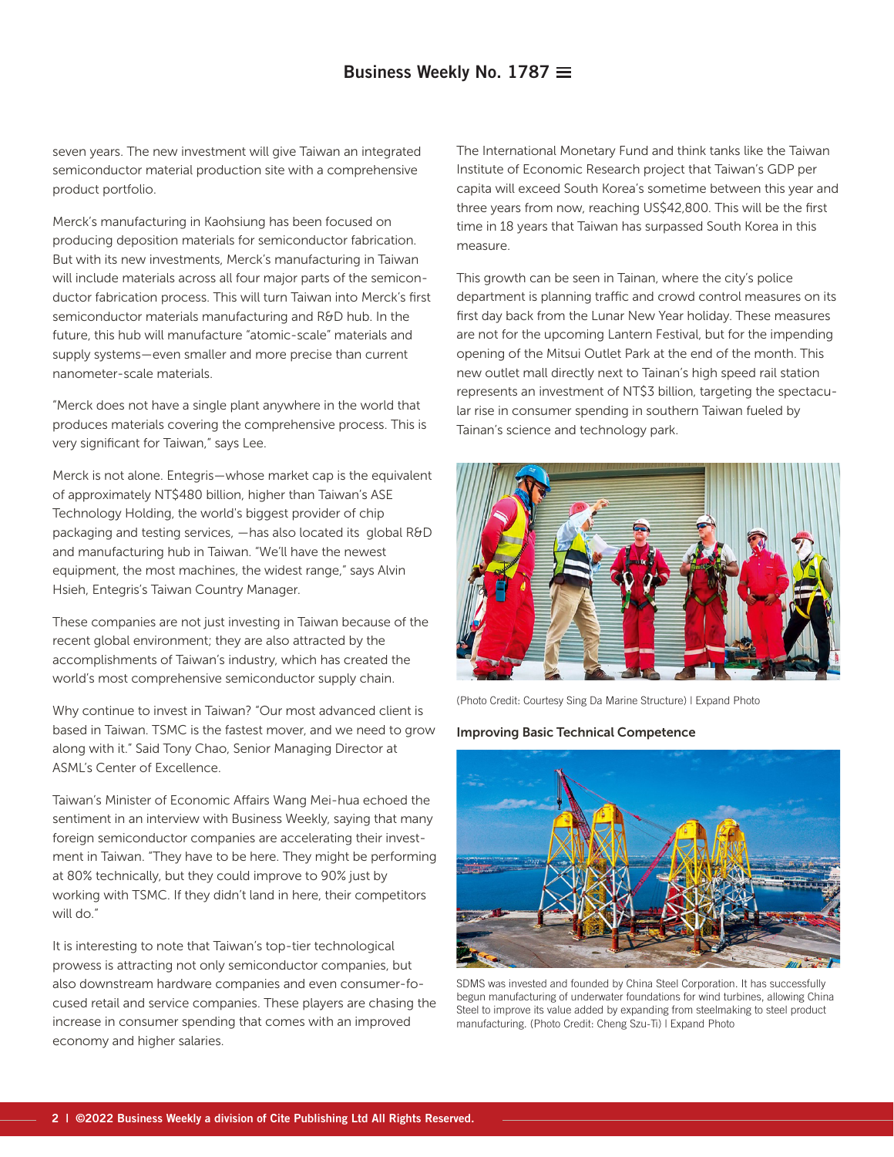seven years. The new investment will give Taiwan an integrated semiconductor material production site with a comprehensive product portfolio.

Merck's manufacturing in Kaohsiung has been focused on producing deposition materials for semiconductor fabrication. But with its new investments, Merck's manufacturing in Taiwan will include materials across all four major parts of the semiconductor fabrication process. This will turn Taiwan into Merck's first semiconductor materials manufacturing and R&D hub. In the future, this hub will manufacture "atomic-scale" materials and supply systems—even smaller and more precise than current nanometer-scale materials.

"Merck does not have a single plant anywhere in the world that produces materials covering the comprehensive process. This is very significant for Taiwan," says Lee.

Merck is not alone. Entegris—whose market cap is the equivalent of approximately NT\$480 billion, higher than Taiwan's ASE Technology Holding, the world's biggest provider of chip packaging and testing services, —has also located its global R&D and manufacturing hub in Taiwan. "We'll have the newest equipment, the most machines, the widest range," says Alvin Hsieh, Entegris's Taiwan Country Manager.

These companies are not just investing in Taiwan because of the recent global environment; they are also attracted by the accomplishments of Taiwan's industry, which has created the world's most comprehensive semiconductor supply chain.

Why continue to invest in Taiwan? "Our most advanced client is based in Taiwan. TSMC is the fastest mover, and we need to grow along with it." Said Tony Chao, Senior Managing Director at ASML's Center of Excellence.

Taiwan's Minister of Economic Affairs Wang Mei-hua echoed the sentiment in an interview with Business Weekly, saying that many foreign semiconductor companies are accelerating their investment in Taiwan. "They have to be here. They might be performing at 80% technically, but they could improve to 90% just by working with TSMC. If they didn't land in here, their competitors will do."

It is interesting to note that Taiwan's top-tier technological prowess is attracting not only semiconductor companies, but also downstream hardware companies and even consumer-focused retail and service companies. These players are chasing the increase in consumer spending that comes with an improved economy and higher salaries.

The International Monetary Fund and think tanks like the Taiwan Institute of Economic Research project that Taiwan's GDP per capita will exceed South Korea's sometime between this year and three years from now, reaching US\$42,800. This will be the first time in 18 years that Taiwan has surpassed South Korea in this measure.

This growth can be seen in Tainan, where the city's police department is planning traffic and crowd control measures on its first day back from the Lunar New Year holiday. These measures are not for the upcoming Lantern Festival, but for the impending opening of the Mitsui Outlet Park at the end of the month. This new outlet mall directly next to Tainan's high speed rail station represents an investment of NT\$3 billion, targeting the spectacular rise in consumer spending in southern Taiwan fueled by Tainan's science and technology park.



(Photo Credit: Courtesy Sing Da Marine Structure) | Expand Photo

#### Improving Basic Technical Competence



SDMS was invested and founded by China Steel Corporation. It has successfully begun manufacturing of underwater foundations for wind turbines, allowing China Steel to improve its value added by expanding from steelmaking to steel product manufacturing. (Photo Credit: Cheng Szu-Ti) | Expand Photo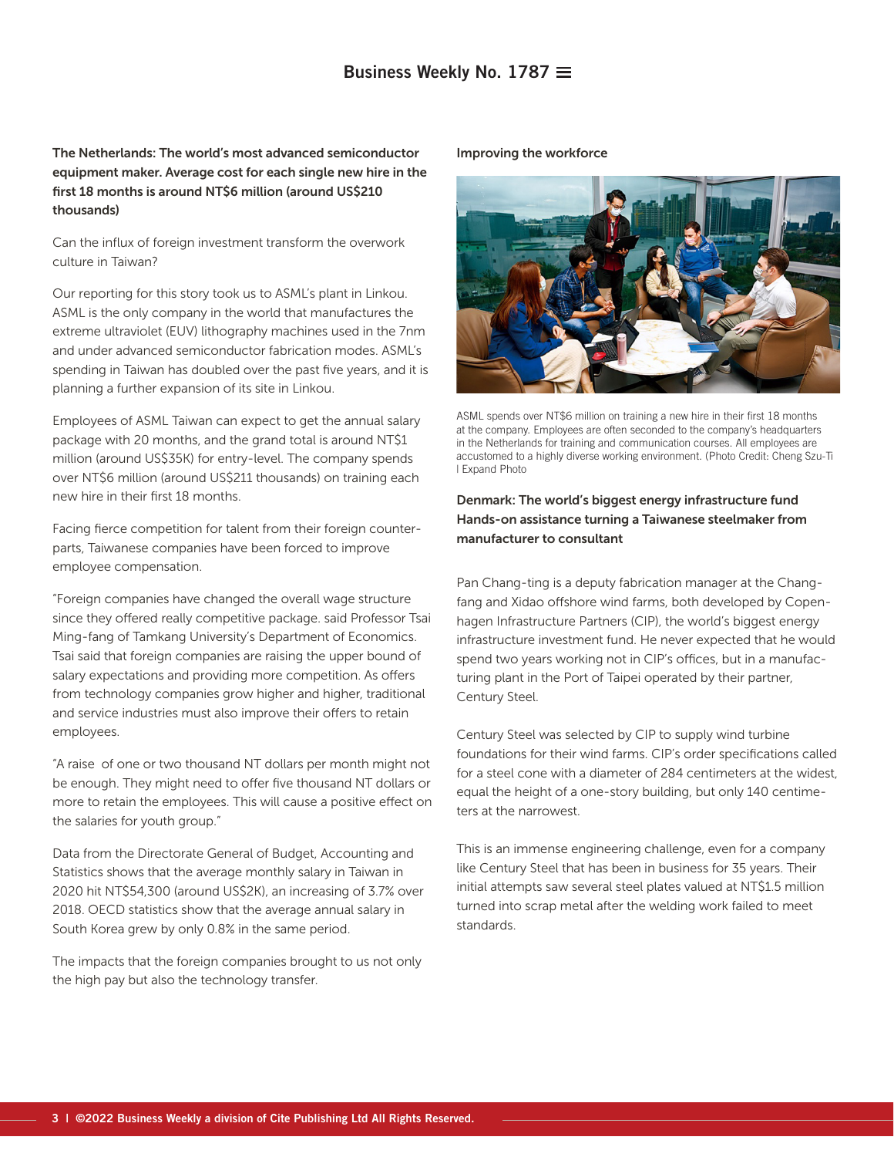The Netherlands: The world's most advanced semiconductor equipment maker. Average cost for each single new hire in the first 18 months is around NT\$6 million (around US\$210 thousands)

Can the influx of foreign investment transform the overwork culture in Taiwan?

Our reporting for this story took us to ASML's plant in Linkou. ASML is the only company in the world that manufactures the extreme ultraviolet (EUV) lithography machines used in the 7nm and under advanced semiconductor fabrication modes. ASML's spending in Taiwan has doubled over the past five years, and it is planning a further expansion of its site in Linkou.

Employees of ASML Taiwan can expect to get the annual salary package with 20 months, and the grand total is around NT\$1 million (around US\$35K) for entry-level. The company spends over NT\$6 million (around US\$211 thousands) on training each new hire in their first 18 months.

Facing fierce competition for talent from their foreign counterparts, Taiwanese companies have been forced to improve employee compensation.

"Foreign companies have changed the overall wage structure since they offered really competitive package. said Professor Tsai Ming-fang of Tamkang University's Department of Economics. Tsai said that foreign companies are raising the upper bound of salary expectations and providing more competition. As offers from technology companies grow higher and higher, traditional and service industries must also improve their offers to retain employees.

"A raise of one or two thousand NT dollars per month might not be enough. They might need to offer five thousand NT dollars or more to retain the employees. This will cause a positive effect on the salaries for youth group."

Data from the Directorate General of Budget, Accounting and Statistics shows that the average monthly salary in Taiwan in 2020 hit NT\$54,300 (around US\$2K), an increasing of 3.7% over 2018. OECD statistics show that the average annual salary in South Korea grew by only 0.8% in the same period.

The impacts that the foreign companies brought to us not only the high pay but also the technology transfer.

Improving the workforce



ASML spends over NT\$6 million on training a new hire in their first 18 months at the company. Employees are often seconded to the company's headquarters in the Netherlands for training and communication courses. All employees are accustomed to a highly diverse working environment. (Photo Credit: Cheng Szu-Ti | Expand Photo

#### Denmark: The world's biggest energy infrastructure fund Hands-on assistance turning a Taiwanese steelmaker from manufacturer to consultant

Pan Chang-ting is a deputy fabrication manager at the Changfang and Xidao offshore wind farms, both developed by Copenhagen Infrastructure Partners (CIP), the world's biggest energy infrastructure investment fund. He never expected that he would spend two years working not in CIP's offices, but in a manufacturing plant in the Port of Taipei operated by their partner, Century Steel.

Century Steel was selected by CIP to supply wind turbine foundations for their wind farms. CIP's order specifications called for a steel cone with a diameter of 284 centimeters at the widest, equal the height of a one-story building, but only 140 centimeters at the narrowest.

This is an immense engineering challenge, even for a company like Century Steel that has been in business for 35 years. Their initial attempts saw several steel plates valued at NT\$1.5 million turned into scrap metal after the welding work failed to meet standards.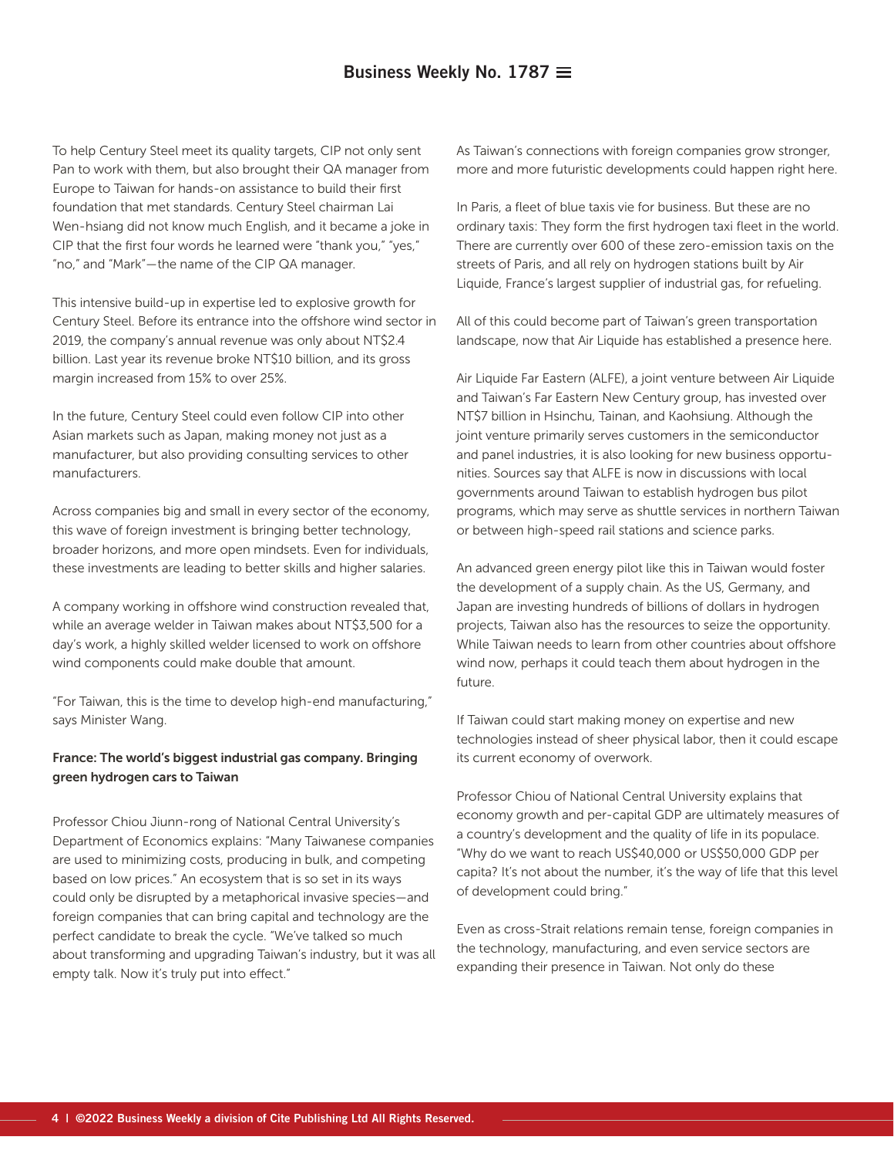To help Century Steel meet its quality targets, CIP not only sent Pan to work with them, but also brought their QA manager from Europe to Taiwan for hands-on assistance to build their first foundation that met standards. Century Steel chairman Lai Wen-hsiang did not know much English, and it became a joke in CIP that the first four words he learned were "thank you," "yes," "no," and "Mark"—the name of the CIP QA manager.

This intensive build-up in expertise led to explosive growth for Century Steel. Before its entrance into the offshore wind sector in 2019, the company's annual revenue was only about NT\$2.4 billion. Last year its revenue broke NT\$10 billion, and its gross margin increased from 15% to over 25%.

In the future, Century Steel could even follow CIP into other Asian markets such as Japan, making money not just as a manufacturer, but also providing consulting services to other manufacturers.

Across companies big and small in every sector of the economy, this wave of foreign investment is bringing better technology, broader horizons, and more open mindsets. Even for individuals, these investments are leading to better skills and higher salaries.

A company working in offshore wind construction revealed that, while an average welder in Taiwan makes about NT\$3,500 for a day's work, a highly skilled welder licensed to work on offshore wind components could make double that amount.

"For Taiwan, this is the time to develop high-end manufacturing," says Minister Wang.

#### France: The world's biggest industrial gas company. Bringing green hydrogen cars to Taiwan

Professor Chiou Jiunn-rong of National Central University's Department of Economics explains: "Many Taiwanese companies are used to minimizing costs, producing in bulk, and competing based on low prices." An ecosystem that is so set in its ways could only be disrupted by a metaphorical invasive species—and foreign companies that can bring capital and technology are the perfect candidate to break the cycle. "We've talked so much about transforming and upgrading Taiwan's industry, but it was all empty talk. Now it's truly put into effect."

As Taiwan's connections with foreign companies grow stronger, more and more futuristic developments could happen right here.

In Paris, a fleet of blue taxis vie for business. But these are no ordinary taxis: They form the first hydrogen taxi fleet in the world. There are currently over 600 of these zero-emission taxis on the streets of Paris, and all rely on hydrogen stations built by Air Liquide, France's largest supplier of industrial gas, for refueling.

All of this could become part of Taiwan's green transportation landscape, now that Air Liquide has established a presence here.

Air Liquide Far Eastern (ALFE), a joint venture between Air Liquide and Taiwan's Far Eastern New Century group, has invested over NT\$7 billion in Hsinchu, Tainan, and Kaohsiung. Although the joint venture primarily serves customers in the semiconductor and panel industries, it is also looking for new business opportunities. Sources say that ALFE is now in discussions with local governments around Taiwan to establish hydrogen bus pilot programs, which may serve as shuttle services in northern Taiwan or between high-speed rail stations and science parks.

An advanced green energy pilot like this in Taiwan would foster the development of a supply chain. As the US, Germany, and Japan are investing hundreds of billions of dollars in hydrogen projects, Taiwan also has the resources to seize the opportunity. While Taiwan needs to learn from other countries about offshore wind now, perhaps it could teach them about hydrogen in the future.

If Taiwan could start making money on expertise and new technologies instead of sheer physical labor, then it could escape its current economy of overwork.

Professor Chiou of National Central University explains that economy growth and per-capital GDP are ultimately measures of a country's development and the quality of life in its populace. "Why do we want to reach US\$40,000 or US\$50,000 GDP per capita? It's not about the number, it's the way of life that this level of development could bring."

Even as cross-Strait relations remain tense, foreign companies in the technology, manufacturing, and even service sectors are expanding their presence in Taiwan. Not only do these